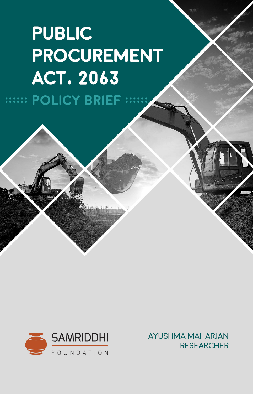# **PUBLIC** PROCUREMENT **ACT. 2063 WEET POLICY BRIEF WE**



AYUSHMA MAHARJAN **RESEARCHER**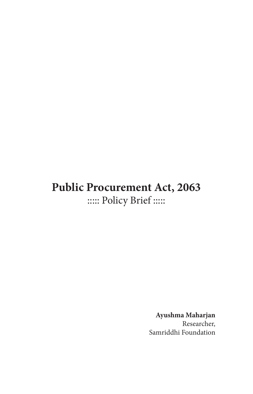# **Public Procurement Act, 2063** ::::: Policy Brief :::::

**Ayushma Maharjan** Researcher, Samriddhi Foundation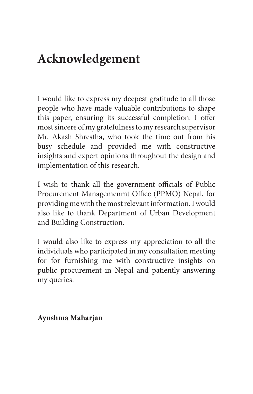# **Acknowledgement**

I would like to express my deepest gratitude to all those people who have made valuable contributions to shape this paper, ensuring its successful completion. I offer most sincere of my gratefulness to my research supervisor Mr. Akash Shrestha, who took the time out from his busy schedule and provided me with constructive insights and expert opinions throughout the design and implementation of this research.

I wish to thank all the government officials of Public Procurement Managemenmt Office (PPMO) Nepal, for providing me with the most relevant information. I would also like to thank Department of Urban Development and Building Construction.

I would also like to express my appreciation to all the individuals who participated in my consultation meeting for for furnishing me with constructive insights on public procurement in Nepal and patiently answering my queries.

#### **Ayushma Maharjan**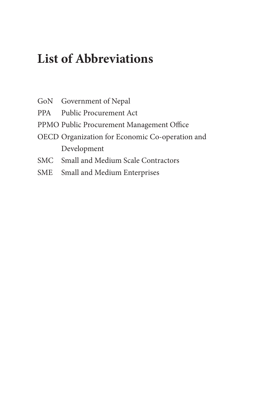# **List of Abbreviations**

- GoN Government of Nepal
- PPA Public Procurement Act
- PPMO Public Procurement Management Office
- OECD Organization for Economic Co-operation and Development
- SMC Small and Medium Scale Contractors
- SME Small and Medium Enterprises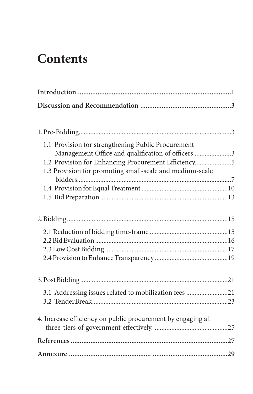# **Contents**

| 1.1 Provision for strengthening Public Procurement           |  |
|--------------------------------------------------------------|--|
| Management Office and qualification of officers 3            |  |
| 1.2 Provision for Enhancing Procurement Efficiency5          |  |
| 1.3 Provision for promoting small-scale and medium-scale     |  |
|                                                              |  |
|                                                              |  |
|                                                              |  |
|                                                              |  |
|                                                              |  |
|                                                              |  |
|                                                              |  |
|                                                              |  |
|                                                              |  |
|                                                              |  |
| 3.1 Addressing issues related to mobilization fees 21        |  |
|                                                              |  |
|                                                              |  |
| 4. Increase efficiency on public procurement by engaging all |  |
|                                                              |  |
|                                                              |  |
|                                                              |  |
|                                                              |  |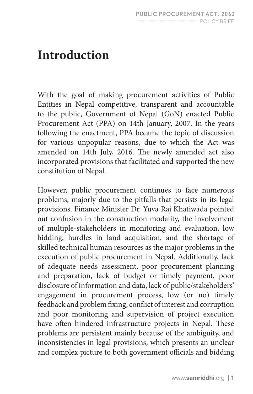# **Introduction**

With the goal of making procurement activities of Public Entities in Nepal competitive, transparent and accountable to the public, Government of Nepal (GoN) enacted Public Procurement Act (PPA) on 14th January, 2007. In the years following the enactment, PPA became the topic of discussion for various unpopular reasons, due to which the Act was amended on 14th July, 2016. The newly amended act also incorporated provisions that facilitated and supported the new constitution of Nepal.

However, public procurement continues to face numerous problems, majorly due to the pitfalls that persists in its legal provisions. Finance Minister Dr. Yuva Raj Khatiwada pointed out confusion in the construction modality, the involvement of multiple-stakeholders in monitoring and evaluation, low bidding, hurdles in land acquisition, and the shortage of skilled technical human resources as the major problems in the execution of public procurement in Nepal. Additionally, lack of adequate needs assessment, poor procurement planning and preparation, lack of budget or timely payment, poor disclosure of information and data, lack of public/stakeholders' engagement in procurement process, low (or no) timely feedback and problem fixing, conflict of interest and corruption and poor monitoring and supervision of project execution have often hindered infrastructure projects in Nepal. These problems are persistent mainly because of the ambiguity, and inconsistencies in legal provisions, which presents an unclear and complex picture to both government officials and bidding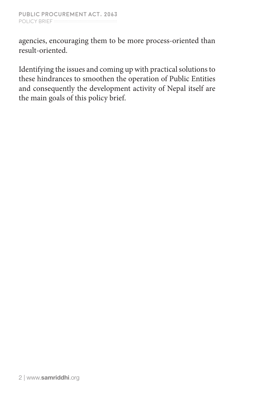agencies, encouraging them to be more process-oriented than result-oriented.

Identifying the issues and coming up with practical solutions to these hindrances to smoothen the operation of Public Entities and consequently the development activity of Nepal itself are the main goals of this policy brief.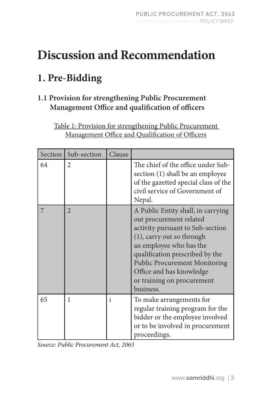# **Discussion and Recommendation**

# **1. Pre-Bidding**

### **1.1 Provision for strengthening Public Procurement Management Office and qualification of officers**

Table 1: Provision for strengthening Public Procurement Management Office and Qualification of Officers

| Section | Sub-section    | Clause       |                                                                                                                                                                                                                                                                                                             |
|---------|----------------|--------------|-------------------------------------------------------------------------------------------------------------------------------------------------------------------------------------------------------------------------------------------------------------------------------------------------------------|
| 64      | 2              |              | The chief of the office under Sub-<br>section (1) shall be an employee<br>of the gazetted special class of the<br>civil service of Government of<br>Nepal.                                                                                                                                                  |
|         | $\overline{2}$ |              | A Public Entity shall, in carrying<br>out procurement related<br>activity pursuant to Sub-section<br>(1), carry out so through<br>an employee who has the<br>qualification prescribed by the<br><b>Public Procurement Monitoring</b><br>Office and has knowledge<br>or training on procurement<br>business. |
| 65      |                | $\mathbf{i}$ | To make arrangements for<br>regular training program for the<br>bidder or the employee involved<br>or to be involved in procurement<br>proceedings.                                                                                                                                                         |

*Source: Public Procurement Act, 2063*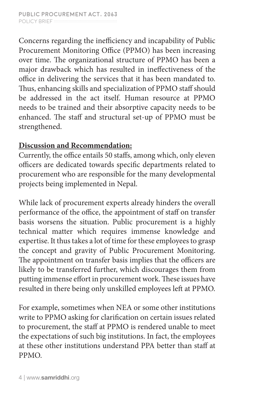Concerns regarding the inefficiency and incapability of Public Procurement Monitoring Office (PPMO) has been increasing over time. The organizational structure of PPMO has been a major drawback which has resulted in ineffectiveness of the office in delivering the services that it has been mandated to. Thus, enhancing skills and specialization of PPMO staff should be addressed in the act itself. Human resource at PPMO needs to be trained and their absorptive capacity needs to be enhanced. The staff and structural set-up of PPMO must be strengthened.

### **Discussion and Recommendation:**

Currently, the office entails 50 staffs, among which, only eleven officers are dedicated towards specific departments related to procurement who are responsible for the many developmental projects being implemented in Nepal.

While lack of procurement experts already hinders the overall performance of the office, the appointment of staff on transfer basis worsens the situation. Public procurement is a highly technical matter which requires immense knowledge and expertise. It thus takes a lot of time for these employees to grasp the concept and gravity of Public Procurement Monitoring. The appointment on transfer basis implies that the officers are likely to be transferred further, which discourages them from putting immense effort in procurement work. These issues have resulted in there being only unskilled employees left at PPMO.

For example, sometimes when NEA or some other institutions write to PPMO asking for clarification on certain issues related to procurement, the staff at PPMO is rendered unable to meet the expectations of such big institutions. In fact, the employees at these other institutions understand PPA better than staff at PPMO.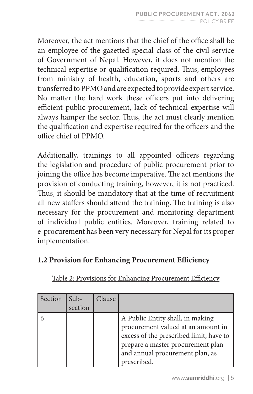Moreover, the act mentions that the chief of the office shall be an employee of the gazetted special class of the civil service of Government of Nepal. However, it does not mention the technical expertise or qualification required. Thus, employees from ministry of health, education, sports and others are transferred to PPMO and are expected to provide expert service. No matter the hard work these officers put into delivering efficient public procurement, lack of technical expertise will always hamper the sector. Thus, the act must clearly mention the qualification and expertise required for the officers and the office chief of PPMO.

Additionally, trainings to all appointed officers regarding the legislation and procedure of public procurement prior to joining the office has become imperative. The act mentions the provision of conducting training, however, it is not practiced. Thus, it should be mandatory that at the time of recruitment all new staffers should attend the training. The training is also necessary for the procurement and monitoring department of individual public entities. Moreover, training related to e-procurement has been very necessary for Nepal for its proper implementation.

#### **1.2 Provision for Enhancing Procurement Efficiency**

| Section | Sub-<br>section | Clause |                                                                                                                                                                                                          |
|---------|-----------------|--------|----------------------------------------------------------------------------------------------------------------------------------------------------------------------------------------------------------|
|         |                 |        | A Public Entity shall, in making<br>procurement valued at an amount in<br>excess of the prescribed limit, have to<br>prepare a master procurement plan<br>and annual procurement plan, as<br>prescribed. |

Table 2: Provisions for Enhancing Procurement Efficiency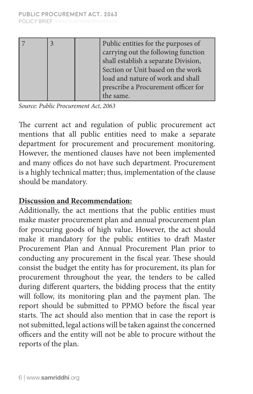|  | Public entities for the purposes of  |
|--|--------------------------------------|
|  | carrying out the following function  |
|  | shall establish a separate Division, |
|  | Section or Unit based on the work    |
|  | load and nature of work and shall    |
|  | prescribe a Procurement officer for  |
|  | he same.                             |

*Source: Public Procurement Act, 2063*

The current act and regulation of public procurement act mentions that all public entities need to make a separate department for procurement and procurement monitoring. However, the mentioned clauses have not been implemented and many offices do not have such department. Procurement is a highly technical matter; thus, implementation of the clause should be mandatory.

#### **Discussion and Recommendation:**

Additionally, the act mentions that the public entities must make master procurement plan and annual procurement plan for procuring goods of high value. However, the act should make it mandatory for the public entities to draft Master Procurement Plan and Annual Procurement Plan prior to conducting any procurement in the fiscal year. These should consist the budget the entity has for procurement, its plan for procurement throughout the year, the tenders to be called during different quarters, the bidding process that the entity will follow, its monitoring plan and the payment plan. The report should be submitted to PPMO before the fiscal year starts. The act should also mention that in case the report is not submitted, legal actions will be taken against the concerned officers and the entity will not be able to procure without the reports of the plan.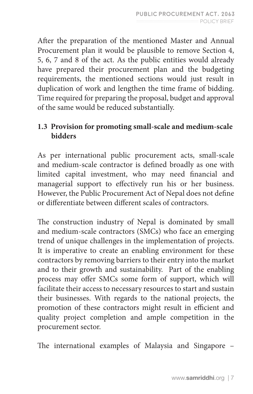After the preparation of the mentioned Master and Annual Procurement plan it would be plausible to remove Section 4, 5, 6, 7 and 8 of the act. As the public entities would already have prepared their procurement plan and the budgeting requirements, the mentioned sections would just result in duplication of work and lengthen the time frame of bidding. Time required for preparing the proposal, budget and approval of the same would be reduced substantially.

#### **1.3 Provision for promoting small-scale and medium-scale bidders**

As per international public procurement acts, small-scale and medium-scale contractor is defined broadly as one with limited capital investment, who may need financial and managerial support to effectively run his or her business. However, the Public Procurement Act of Nepal does not define or differentiate between different scales of contractors.

The construction industry of Nepal is dominated by small and medium-scale contractors (SMCs) who face an emerging trend of unique challenges in the implementation of projects. It is imperative to create an enabling environment for these contractors by removing barriers to their entry into the market and to their growth and sustainability. Part of the enabling process may offer SMCs some form of support, which will facilitate their access to necessary resources to start and sustain their businesses. With regards to the national projects, the promotion of these contractors might result in efficient and quality project completion and ample competition in the procurement sector.

The international examples of Malaysia and Singapore –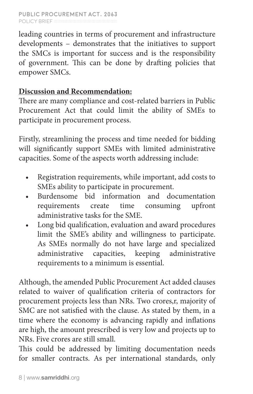#### **Public Procurement Act, 2063** policy Brief :::::::::::::::::::::::::::::::::::::::::::::::::::::::::

leading countries in terms of procurement and infrastructure developments – demonstrates that the initiatives to support the SMCs is important for success and is the responsibility of government. This can be done by drafting policies that empower SMCs.

#### **Discussion and Recommendation:**

There are many compliance and cost-related barriers in Public Procurement Act that could limit the ability of SMEs to participate in procurement process.

Firstly, streamlining the process and time needed for bidding will significantly support SMEs with limited administrative capacities. Some of the aspects worth addressing include:

- Registration requirements, while important, add costs to SMEs ability to participate in procurement.
- Burdensome bid information and documentation requirements create time consuming upfront administrative tasks for the SME.
- Long bid qualification, evaluation and award procedures limit the SME's ability and willingness to participate. As SMEs normally do not have large and specialized administrative capacities, keeping administrative requirements to a minimum is essential.

Although, the amended Public Procurement Act added clauses related to waiver of qualification criteria of contractors for procurement projects less than NRs. Two crores,r, majority of SMC are not satisfied with the clause. As stated by them, in a time where the economy is advancing rapidly and inflations are high, the amount prescribed is very low and projects up to NRs. Five crores are still small.

This could be addressed by limiting documentation needs for smaller contracts. As per international standards, only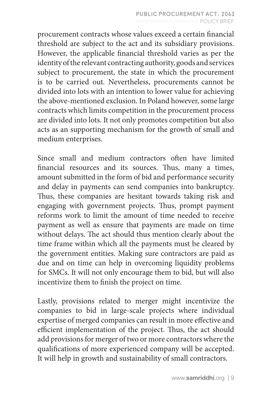procurement contracts whose values exceed a certain financial threshold are subject to the act and its subsidiary provisions. However, the applicable financial threshold varies as per the identity of the relevant contracting authority, goods and services subject to procurement, the state in which the procurement is to be carried out. Nevertheless, procurements cannot be divided into lots with an intention to lower value for achieving the above-mentioned exclusion. In Poland however, some large contracts which limits competition in the procurement process are divided into lots. It not only promotes competition but also acts as an supporting mechanism for the growth of small and medium enterprises.

Since small and medium contractors often have limited financial resources and its sources. Thus, many a times, amount submitted in the form of bid and performance security and delay in payments can send companies into bankruptcy. Thus, these companies are hesitant towards taking risk and engaging with government projects. Thus, prompt payment reforms work to limit the amount of time needed to receive payment as well as ensure that payments are made on time without delays. The act should thus mention clearly about the time frame within which all the payments must be cleared by the government entities. Making sure contractors are paid as due and on time can help in overcoming liquidity problems for SMCs. It will not only encourage them to bid, but will also incentivize them to finish the project on time.

Lastly, provisions related to merger might incentivize the companies to bid in large-scale projects where individual expertise of merged companies can result in more effective and efficient implementation of the project. Thus, the act should add provisions for merger of two or more contractors where the qualifications of more experienced company will be accepted. It will help in growth and sustainability of small contractors.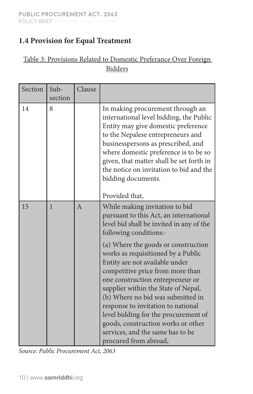### **1.4 Provision for Equal Treatment**

#### Table 3: Provisions Related to Domestic Preferance Over Foreign Bidders

| Section | Sub-<br>section | Clause         |                                                                                                                                                                                                                                                                                                                                                                                                                                                                                                                                                                                                    |
|---------|-----------------|----------------|----------------------------------------------------------------------------------------------------------------------------------------------------------------------------------------------------------------------------------------------------------------------------------------------------------------------------------------------------------------------------------------------------------------------------------------------------------------------------------------------------------------------------------------------------------------------------------------------------|
| 14      | 8               |                | In making procurement through an<br>international level bidding, the Public<br>Entity may give domestic preference<br>to the Nepalese entrepreneurs and<br>businesspersons as prescribed, and<br>where domestic preference is to be so<br>given, that matter shall be set forth in<br>the notice on invitation to bid and the<br>bidding documents.<br>Provided that,                                                                                                                                                                                                                              |
| 15      | $\mathbf{1}$    | $\overline{A}$ | While making invitation to bid<br>pursuant to this Act, an international<br>level bid shall be invited in any of the<br>following conditions:-<br>(a) Where the goods or construction<br>works as requisitioned by a Public<br>Entity are not available under<br>competitive price from more than<br>one construction entrepreneur or<br>supplier within the State of Nepal,<br>(b) Where no bid was submitted in<br>response to invitation to national<br>level bidding for the procurement of<br>goods, construction works or other<br>services, and the same has to be<br>procured from abroad, |

*Source: Public Procurement Act, 2063*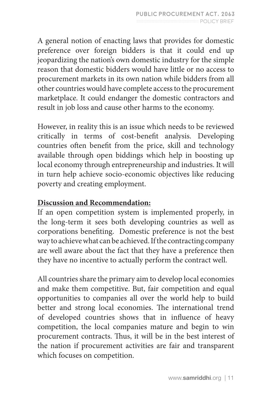A general notion of enacting laws that provides for domestic preference over foreign bidders is that it could end up jeopardizing the nation's own domestic industry for the simple reason that domestic bidders would have little or no access to procurement markets in its own nation while bidders from all other countries would have complete access to the procurement marketplace. It could endanger the domestic contractors and result in job loss and cause other harms to the economy.

However, in reality this is an issue which needs to be reviewed critically in terms of cost-benefit analysis. Developing countries often benefit from the price, skill and technology available through open biddings which help in boosting up local economy through entrepreneurship and industries. It will in turn help achieve socio-economic objectives like reducing poverty and creating employment.

### **Discussion and Recommendation:**

If an open competition system is implemented properly, in the long-term it sees both developing countries as well as corporations benefiting. Domestic preference is not the best way to achieve what can be achieved. If the contracting company are well aware about the fact that they have a preference then they have no incentive to actually perform the contract well.

All countries share the primary aim to develop local economies and make them competitive. But, fair competition and equal opportunities to companies all over the world help to build better and strong local economies. The international trend of developed countries shows that in influence of heavy competition, the local companies mature and begin to win procurement contracts. Thus, it will be in the best interest of the nation if procurement activities are fair and transparent which focuses on competition.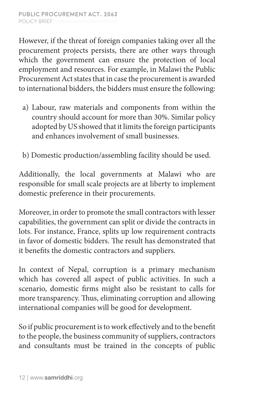However, if the threat of foreign companies taking over all the procurement projects persists, there are other ways through which the government can ensure the protection of local employment and resources. For example, in Malawi the Public Procurement Act states that in case the procurement is awarded to international bidders, the bidders must ensure the following:

- a) Labour, raw materials and components from within the country should account for more than 30%. Similar policy adopted by US showed that it limits the foreign participants and enhances involvement of small businesses.
- b) Domestic production/assembling facility should be used.

Additionally, the local governments at Malawi who are responsible for small scale projects are at liberty to implement domestic preference in their procurements.

Moreover, in order to promote the small contractors with lesser capabilities, the government can split or divide the contracts in lots. For instance, France, splits up low requirement contracts in favor of domestic bidders. The result has demonstrated that it benefits the domestic contractors and suppliers.

In context of Nepal, corruption is a primary mechanism which has covered all aspect of public activities. In such a scenario, domestic firms might also be resistant to calls for more transparency. Thus, eliminating corruption and allowing international companies will be good for development.

So if public procurement is to work effectively and to the benefit to the people, the business community of suppliers, contractors and consultants must be trained in the concepts of public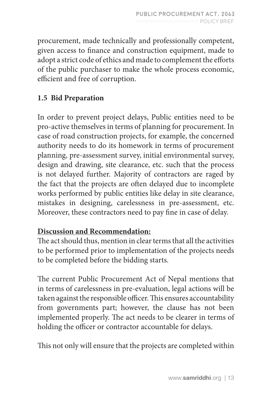procurement, made technically and professionally competent, given access to finance and construction equipment, made to adopt a strict code of ethics and made to complement the efforts of the public purchaser to make the whole process economic, efficient and free of corruption.

### **1.5 Bid Preparation**

In order to prevent project delays, Public entities need to be pro-active themselves in terms of planning for procurement. In case of road construction projects, for example, the concerned authority needs to do its homework in terms of procurement planning, pre-assessment survey, initial environmental survey, design and drawing, site clearance, etc. such that the process is not delayed further. Majority of contractors are raged by the fact that the projects are often delayed due to incomplete works performed by public entities like delay in site clearance, mistakes in designing, carelessness in pre-assessment, etc. Moreover, these contractors need to pay fine in case of delay.

### **Discussion and Recommendation:**

The act should thus, mention in clear terms that all the activities to be performed prior to implementation of the projects needs to be completed before the bidding starts.

The current Public Procurement Act of Nepal mentions that in terms of carelessness in pre-evaluation, legal actions will be taken against the responsible officer. This ensures accountability from governments part; however, the clause has not been implemented properly. The act needs to be clearer in terms of holding the officer or contractor accountable for delays.

This not only will ensure that the projects are completed within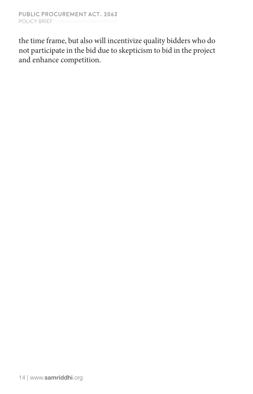the time frame, but also will incentivize quality bidders who do not participate in the bid due to skepticism to bid in the project and enhance competition.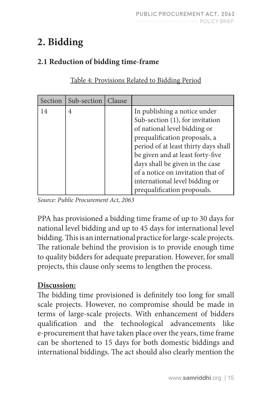# **2. Bidding**

### **2.1 Reduction of bidding time-frame**

| Section | Sub-section   Clause |                                                                                                                                                                                                                                                                                                                                                       |
|---------|----------------------|-------------------------------------------------------------------------------------------------------------------------------------------------------------------------------------------------------------------------------------------------------------------------------------------------------------------------------------------------------|
| 14      | 4                    | In publishing a notice under<br>Sub-section (1), for invitation<br>of national level bidding or<br>prequalification proposals, a<br>period of at least thirty days shall<br>be given and at least forty-five<br>days shall be given in the case<br>of a notice on invitation that of<br>international level bidding or<br>prequalification proposals. |

Table 4: Provisions Related to Bidding Period

*Source: Public Procurement Act, 2063* 

PPA has provisioned a bidding time frame of up to 30 days for national level bidding and up to 45 days for international level bidding. This is an international practice for large-scale projects. The rationale behind the provision is to provide enough time to quality bidders for adequate preparation. However, for small projects, this clause only seems to lengthen the process.

### **Discussion:**

The bidding time provisioned is definitely too long for small scale projects. However, no compromise should be made in terms of large-scale projects. With enhancement of bidders qualification and the technological advancements like e-procurement that have taken place over the years, time frame can be shortened to 15 days for both domestic biddings and international biddings. The act should also clearly mention the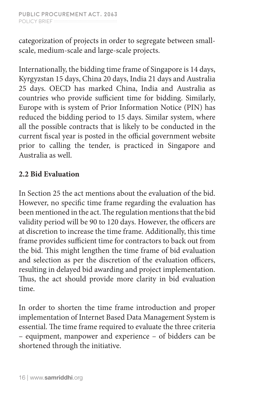categorization of projects in order to segregate between smallscale, medium-scale and large-scale projects.

Internationally, the bidding time frame of Singapore is 14 days, Kyrgyzstan 15 days, China 20 days, India 21 days and Australia 25 days. OECD has marked China, India and Australia as countries who provide sufficient time for bidding. Similarly, Europe with is system of Prior Information Notice (PIN) has reduced the bidding period to 15 days. Similar system, where all the possible contracts that is likely to be conducted in the current fiscal year is posted in the official government website prior to calling the tender, is practiced in Singapore and Australia as well.

### **2.2 Bid Evaluation**

In Section 25 the act mentions about the evaluation of the bid. However, no specific time frame regarding the evaluation has been mentioned in the act. The regulation mentions that the bid validity period will be 90 to 120 days. However, the officers are at discretion to increase the time frame. Additionally, this time frame provides sufficient time for contractors to back out from the bid. This might lengthen the time frame of bid evaluation and selection as per the discretion of the evaluation officers, resulting in delayed bid awarding and project implementation. Thus, the act should provide more clarity in bid evaluation time.

In order to shorten the time frame introduction and proper implementation of Internet Based Data Management System is essential. The time frame required to evaluate the three criteria – equipment, manpower and experience – of bidders can be shortened through the initiative.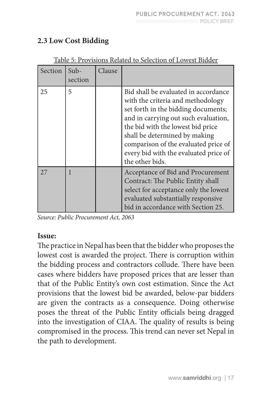|         | Table 9. I TOVISIONS INTRING to SCIECHON OF LOWEST DIGILI |        |                                                                                                                                                                                                                                                                                                                                    |  |
|---------|-----------------------------------------------------------|--------|------------------------------------------------------------------------------------------------------------------------------------------------------------------------------------------------------------------------------------------------------------------------------------------------------------------------------------|--|
| Section | Sub-<br>section                                           | Clause |                                                                                                                                                                                                                                                                                                                                    |  |
| 25      | 5                                                         |        | Bid shall be evaluated in accordance<br>with the criteria and methodology<br>set forth in the bidding documents;<br>and in carrying out such evaluation,<br>the bid with the lowest bid price<br>shall be determined by making<br>comparison of the evaluated price of<br>every bid with the evaluated price of<br>the other bids. |  |
| 27      |                                                           |        | Acceptance of Bid and Procurement<br>Contract: The Public Entity shall<br>select for acceptance only the lowest<br>evaluated substantially responsive<br>bid in accordance with Section 25.                                                                                                                                        |  |

#### **2.3 Low Cost Bidding**

#### Table 5: Provisions Related to Selection of Lowest Bidder

*Source: Public Procurement Act, 2063*

#### **Issue:**

The practice in Nepal has been that the bidder who proposes the lowest cost is awarded the project. There is corruption within the bidding process and contractors collude. There have been cases where bidders have proposed prices that are lesser than that of the Public Entity's own cost estimation. Since the Act provisions that the lowest bid be awarded, below-par bidders are given the contracts as a consequence. Doing otherwise poses the threat of the Public Entity officials being dragged into the investigation of CIAA. The quality of results is being compromised in the process. This trend can never set Nepal in the path to development.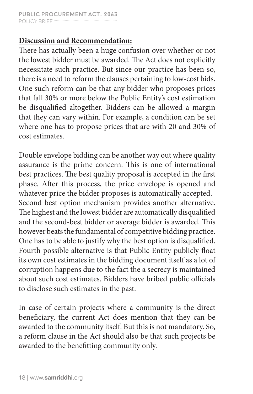#### **Discussion and Recommendation:**

There has actually been a huge confusion over whether or not the lowest bidder must be awarded. The Act does not explicitly necessitate such practice. But since our practice has been so, there is a need to reform the clauses pertaining to low-cost bids. One such reform can be that any bidder who proposes prices that fall 30% or more below the Public Entity's cost estimation be disqualified altogether. Bidders can be allowed a margin that they can vary within. For example, a condition can be set where one has to propose prices that are with 20 and 30% of cost estimates.

Double envelope bidding can be another way out where quality assurance is the prime concern. This is one of international best practices. The best quality proposal is accepted in the first phase. After this process, the price envelope is opened and whatever price the bidder proposes is automatically accepted. Second best option mechanism provides another alternative. The highest and the lowest bidder are automatically disqualified and the second-best bidder or average bidder is awarded. This however beats the fundamental of competitive bidding practice. One has to be able to justify why the best option is disqualified. Fourth possible alternative is that Public Entity publicly float its own cost estimates in the bidding document itself as a lot of corruption happens due to the fact the a secrecy is maintained about such cost estimates. Bidders have bribed public officials to disclose such estimates in the past.

In case of certain projects where a community is the direct beneficiary, the current Act does mention that they can be awarded to the community itself. But this is not mandatory. So, a reform clause in the Act should also be that such projects be awarded to the benefitting community only.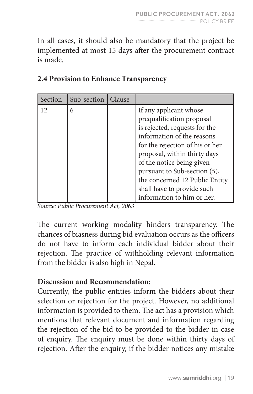In all cases, it should also be mandatory that the project be implemented at most 15 days after the procurement contract is made.

| Section | Sub-section | Clause |                                                                                                                                                                                                                                                                                                                                                  |
|---------|-------------|--------|--------------------------------------------------------------------------------------------------------------------------------------------------------------------------------------------------------------------------------------------------------------------------------------------------------------------------------------------------|
| 12      | 6           |        | If any applicant whose<br>prequalification proposal<br>is rejected, requests for the<br>information of the reasons<br>for the rejection of his or her<br>proposal, within thirty days<br>of the notice being given<br>pursuant to Sub-section (5),<br>the concerned 12 Public Entity<br>shall have to provide such<br>information to him or her. |

### **2.4 Provision to Enhance Transparency**

*Source: Public Procurement Act, 2063*

The current working modality hinders transparency. The chances of biasness during bid evaluation occurs as the officers do not have to inform each individual bidder about their rejection. The practice of withholding relevant information from the bidder is also high in Nepal.

#### **Discussion and Recommendation:**

Currently, the public entities inform the bidders about their selection or rejection for the project. However, no additional information is provided to them. The act has a provision which mentions that relevant document and information regarding the rejection of the bid to be provided to the bidder in case of enquiry. The enquiry must be done within thirty days of rejection. After the enquiry, if the bidder notices any mistake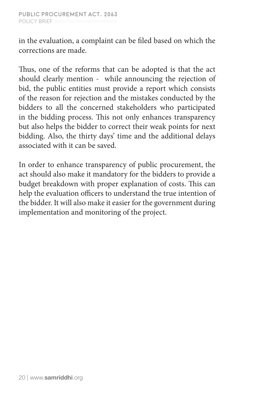in the evaluation, a complaint can be filed based on which the corrections are made.

Thus, one of the reforms that can be adopted is that the act should clearly mention - while announcing the rejection of bid, the public entities must provide a report which consists of the reason for rejection and the mistakes conducted by the bidders to all the concerned stakeholders who participated in the bidding process. This not only enhances transparency but also helps the bidder to correct their weak points for next bidding. Also, the thirty days' time and the additional delays associated with it can be saved.

In order to enhance transparency of public procurement, the act should also make it mandatory for the bidders to provide a budget breakdown with proper explanation of costs. This can help the evaluation officers to understand the true intention of the bidder. It will also make it easier for the government during implementation and monitoring of the project.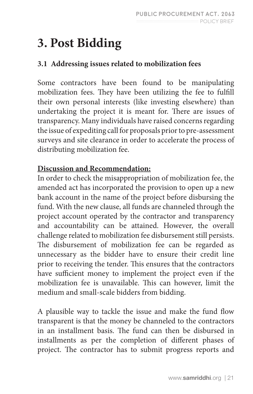# **3. Post Bidding**

### **3.1 Addressing issues related to mobilization fees**

Some contractors have been found to be manipulating mobilization fees. They have been utilizing the fee to fulfill their own personal interests (like investing elsewhere) than undertaking the project it is meant for. There are issues of transparency. Many individuals have raised concerns regarding the issue of expediting call for proposals prior to pre-assessment surveys and site clearance in order to accelerate the process of distributing mobilization fee.

### **Discussion and Recommendation:**

In order to check the misappropriation of mobilization fee, the amended act has incorporated the provision to open up a new bank account in the name of the project before disbursing the fund. With the new clause, all funds are channeled through the project account operated by the contractor and transparency and accountability can be attained. However, the overall challenge related to mobilization fee disbursement still persists. The disbursement of mobilization fee can be regarded as unnecessary as the bidder have to ensure their credit line prior to receiving the tender. This ensures that the contractors have sufficient money to implement the project even if the mobilization fee is unavailable. This can however, limit the medium and small-scale bidders from bidding.

A plausible way to tackle the issue and make the fund flow transparent is that the money be channeled to the contractors in an installment basis. The fund can then be disbursed in installments as per the completion of different phases of project. The contractor has to submit progress reports and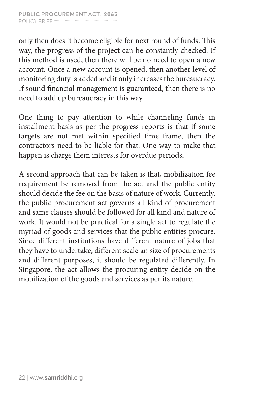only then does it become eligible for next round of funds. This way, the progress of the project can be constantly checked. If this method is used, then there will be no need to open a new account. Once a new account is opened, then another level of monitoring duty is added and it only increases the bureaucracy. If sound financial management is guaranteed, then there is no need to add up bureaucracy in this way.

One thing to pay attention to while channeling funds in installment basis as per the progress reports is that if some targets are not met within specified time frame, then the contractors need to be liable for that. One way to make that happen is charge them interests for overdue periods.

A second approach that can be taken is that, mobilization fee requirement be removed from the act and the public entity should decide the fee on the basis of nature of work. Currently, the public procurement act governs all kind of procurement and same clauses should be followed for all kind and nature of work. It would not be practical for a single act to regulate the myriad of goods and services that the public entities procure. Since different institutions have different nature of jobs that they have to undertake, different scale an size of procurements and different purposes, it should be regulated differently. In Singapore, the act allows the procuring entity decide on the mobilization of the goods and services as per its nature.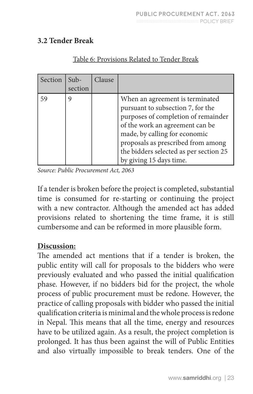### **3.2 Tender Break**

| Section | $Sub-$<br>section | Clause |                                                                                                                                                                                                                                                                                            |
|---------|-------------------|--------|--------------------------------------------------------------------------------------------------------------------------------------------------------------------------------------------------------------------------------------------------------------------------------------------|
| 59      | 9                 |        | When an agreement is terminated<br>pursuant to subsection 7, for the<br>purposes of completion of remainder<br>of the work an agreement can be<br>made, by calling for economic<br>proposals as prescribed from among<br>the bidders selected as per section 25<br>by giving 15 days time. |

#### Table 6: Provisions Related to Tender Break

*Source: Public Procurement Act, 2063*

If a tender is broken before the project is completed, substantial time is consumed for re-starting or continuing the project with a new contractor. Although the amended act has added provisions related to shortening the time frame, it is still cumbersome and can be reformed in more plausible form.

#### **Discussion:**

The amended act mentions that if a tender is broken, the public entity will call for proposals to the bidders who were previously evaluated and who passed the initial qualification phase. However, if no bidders bid for the project, the whole process of public procurement must be redone. However, the practice of calling proposals with bidder who passed the initial qualification criteria is minimal and the whole process is redone in Nepal. This means that all the time, energy and resources have to be utilized again. As a result, the project completion is prolonged. It has thus been against the will of Public Entities and also virtually impossible to break tenders. One of the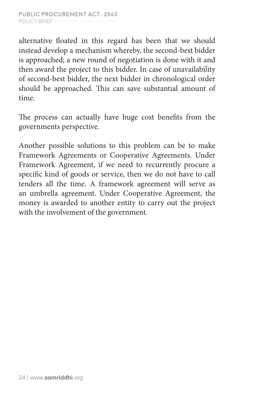alternative floated in this regard has been that we should instead develop a mechanism whereby, the second-best bidder is approached; a new round of negotiation is done with it and then award the project to this bidder. In case of unavailability of second-best bidder, the next bidder in chronological order should be approached. This can save substantial amount of time.

The process can actually have huge cost benefits from the governments perspective.

Another possible solutions to this problem can be to make Framework Agreements or Cooperative Agreements. Under Framework Agreement, if we need to recurrently procure a specific kind of goods or service, then we do not have to call tenders all the time. A framework agreement will serve as an umbrella agreement. Under Cooperative Agreement, the money is awarded to another entity to carry out the project with the involvement of the government.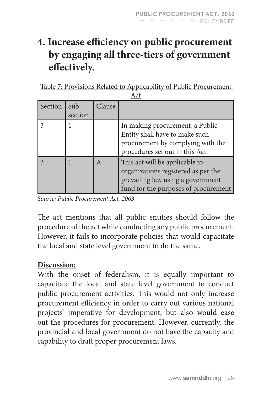## **4. Increase efficiency on public procurement by engaging all three-tiers of government effectively.**

Table 7: Provisions Related to Applicability of Public Procurement  $\Delta$  ct

|         | 1121              |        |                                                                                                                                                    |  |
|---------|-------------------|--------|----------------------------------------------------------------------------------------------------------------------------------------------------|--|
| Section | $Sub-$<br>section | Clause |                                                                                                                                                    |  |
|         |                   |        | In making procurement, a Public<br>Entity shall have to make such<br>procurement by complying with the<br>procedures set out in this Act.          |  |
|         |                   | A      | This act will be applicable to<br>organizations registered as per the<br>prevailing law using a government<br>fund for the purposes of procurement |  |

*Source: Public Procurement Act, 2063*

The act mentions that all public entities should follow the procedure of the act while conducting any public procurement. However, it fails to incorporate policies that would capacitate the local and state level government to do the same.

#### **Discussion:**

With the onset of federalism, it is equally important to capacitate the local and state level government to conduct public procurement activities. This would not only increase procurement efficiency in order to carry out various national projects' imperative for development, but also would ease out the procedures for procurement. However, currently, the provincial and local government do not have the capacity and capability to draft proper procurement laws.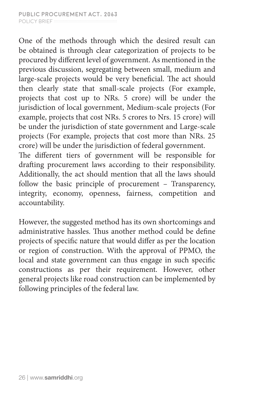One of the methods through which the desired result can be obtained is through clear categorization of projects to be procured by different level of government. As mentioned in the previous discussion, segregating between small, medium and large-scale projects would be very beneficial. The act should then clearly state that small-scale projects (For example, projects that cost up to NRs. 5 crore) will be under the jurisdiction of local government, Medium-scale projects (For example, projects that cost NRs. 5 crores to Nrs. 15 crore) will be under the jurisdiction of state government and Large-scale projects (For example, projects that cost more than NRs. 25 crore) will be under the jurisdiction of federal government. The different tiers of government will be responsible for

drafting procurement laws according to their responsibility. Additionally, the act should mention that all the laws should follow the basic principle of procurement – Transparency, integrity, economy, openness, fairness, competition and accountability.

However, the suggested method has its own shortcomings and administrative hassles. Thus another method could be define projects of specific nature that would differ as per the location or region of construction. With the approval of PPMO, the local and state government can thus engage in such specific constructions as per their requirement. However, other general projects like road construction can be implemented by following principles of the federal law.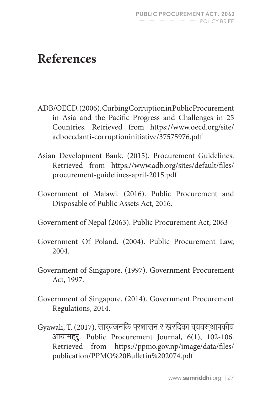# **References**

- ADB/OECD. (2006). Curbing Corruption in Public Procurement in Asia and the Pacific Progress and Challenges in 25 Countries. Retrieved from https://www.oecd.org/site/ adboecdanti-corruptioninitiative/37575976.pdf
- Asian Development Bank. (2015). Procurement Guidelines. Retrieved from https://www.adb.org/sites/default/files/ procurement-guidelines-april-2015.pdf
- Government of Malawi. (2016). Public Procurement and Disposable of Public Assets Act, 2016.
- Government of Nepal (2063). Public Procurement Act, 2063
- Government Of Poland. (2004). Public Procurement Law, 2004.
- Government of Singapore. (1997). Government Procurement Act, 1997.
- Government of Singapore. (2014). Government Procurement Regulations, 2014.
- Gyawali, T. (2017). सार्वजनिक प्रशासन र खरिदका व्यवस्थापकीय आयामहरु. Public Procurement Journal, 6(1), 102-106. Retrieved from https://ppmo.gov.np/image/data/files/ publication/PPMO%20Bulletin%202074.pdf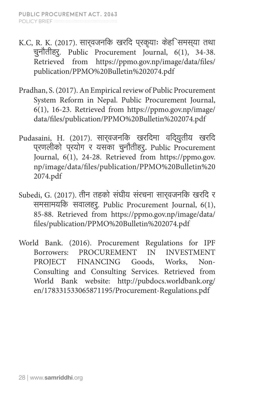- K.C, R. K. (2017). सार्वजनिक खरिद प्रकृयाः केहि समस्या तथा चुनौतीहरु. Public Procurement Journal, 6(1), 34-38. Retrieved from https://ppmo.gov.np/image/data/files/ publication/PPMO%20Bulletin%202074.pdf
- Pradhan, S. (2017). An Empirical review of Public Procurement System Reform in Nepal. Public Procurement Journal, 6(1), 16-23. Retrieved from https://ppmo.gov.np/image/ data/files/publication/PPMO%20Bulletin%202074.pdf
- Pudasaini, H. (2017). सार्**वजनकि खरदिमा वद्**युतीय खरदि प्रणलीको प्रयोग र यसका चुनौतीहरु**.** Public Procurement Journal, 6(1), 24-28. Retrieved from https://ppmo.gov. np/image/data/files/publication/PPMO%20Bulletin%20 2074.pdf
- Subedi, G. (2017). तीन तहको संघीय संरचना सार्वजनिक खरिद र समसामयिक सवालहरु. Public Procurement Journal, 6(1), 85-88. Retrieved from https://ppmo.gov.np/image/data/ files/publication/PPMO%20Bulletin%202074.pdf
- World Bank. (2016). Procurement Regulations for IPF Borrowers: PROCUREMENT IN PROJECT FINANCING Goods, Works, Non-Consulting and Consulting Services. Retrieved from World Bank website: http://pubdocs.worldbank.org/ en/178331533065871195/Procurement-Regulations.pdf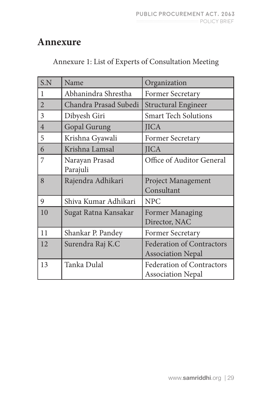### **Annexure**

| Annexure 1: List of Experts of Consultation Meeting |  |  |
|-----------------------------------------------------|--|--|
|-----------------------------------------------------|--|--|

| S.N            | Name                       | Organization                                                 |
|----------------|----------------------------|--------------------------------------------------------------|
| 1              | Abhanindra Shrestha        | Former Secretary                                             |
| $\overline{2}$ | Chandra Prasad Subedi      | <b>Structural Engineer</b>                                   |
| 3              | Dibyesh Giri               | <b>Smart Tech Solutions</b>                                  |
| $\overline{4}$ | <b>Gopal Gurung</b>        | <b>JICA</b>                                                  |
| 5              | Krishna Gyawali            | Former Secretary                                             |
| 6              | Krishna Lamsal             | <b>JICA</b>                                                  |
| 7              | Narayan Prasad<br>Parajuli | Office of Auditor General                                    |
| 8              | Rajendra Adhikari          | <b>Project Management</b><br>Consultant                      |
| 9              | Shiva Kumar Adhikari       | <b>NPC</b>                                                   |
| 10             | Sugat Ratna Kansakar       | <b>Former Managing</b><br>Director, NAC                      |
| 11             | Shankar P. Pandey          | <b>Former Secretary</b>                                      |
| 12             | Surendra Raj K.C           | <b>Federation of Contractors</b><br><b>Association Nepal</b> |
| 13             | Tanka Dulal                | <b>Federation of Contractors</b><br><b>Association Nepal</b> |